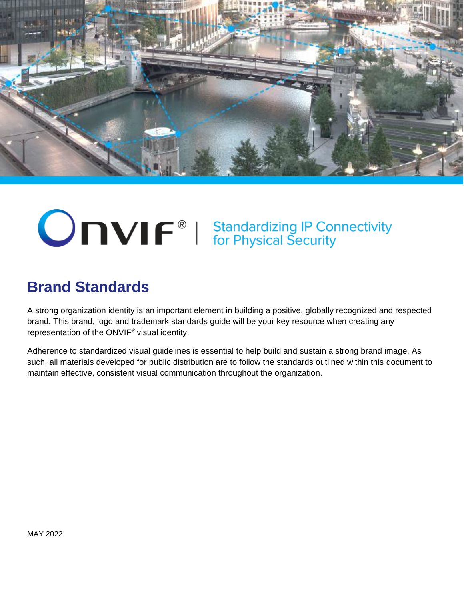

# **ONVIF**<sup>®</sup> | Standardizing IP Connectivity<br>for Physical Security

## **Brand Standards**

A strong organization identity is an important element in building a positive, globally recognized and respected brand. This brand, logo and trademark standards guide will be your key resource when creating any representation of the ONVIF® visual identity.

Adherence to standardized visual guidelines is essential to help build and sustain a strong brand image. As such, all materials developed for public distribution are to follow the standards outlined within this document to maintain effective, consistent visual communication throughout the organization.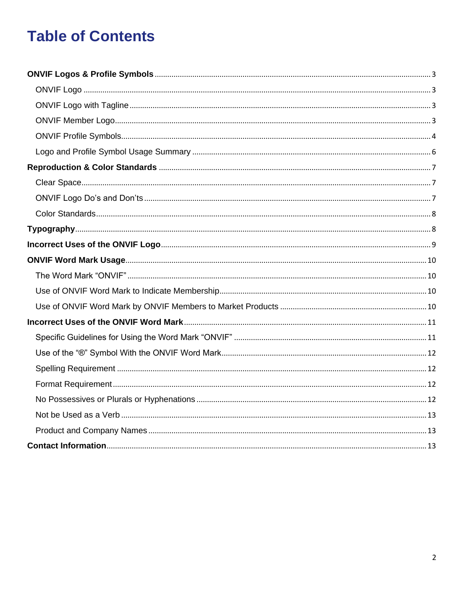## **Table of Contents**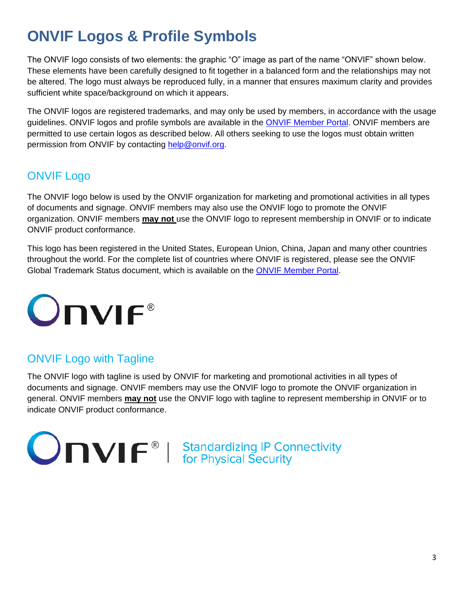## <span id="page-2-0"></span>**ONVIF Logos & Profile Symbols**

The ONVIF logo consists of two elements: the graphic "O" image as part of the name "ONVIF" shown below. These elements have been carefully designed to fit together in a balanced form and the relationships may not be altered. The logo must always be reproduced fully, in a manner that ensures maximum clarity and provides sufficient white space/background on which it appears.

The ONVIF logos are registered trademarks, and may only be used by members, in accordance with the usage guidelines. ONVIF logos and profile symbols are available in the [ONVIF Member Portal.](https://www.onvif.org/member-portal/) ONVIF members are permitted to use certain logos as described below. All others seeking to use the logos must obtain written permission from ONVIF by contacting [help@onvif.org.](mailto:help@onvif.org)

## <span id="page-2-1"></span>ONVIF Logo

The ONVIF logo below is used by the ONVIF organization for marketing and promotional activities in all types of documents and signage. ONVIF members may also use the ONVIF logo to promote the ONVIF organization. ONVIF members **may not** use the ONVIF logo to represent membership in ONVIF or to indicate ONVIF product conformance.

This logo has been registered in the United States, European Union, China, Japan and many other countries throughout the world. For the complete list of countries where ONVIF is registered, please see the ONVIF Global Trademark Status document, which is available on the **ONVIF Member Portal**.



## <span id="page-2-2"></span>ONVIF Logo with Tagline

The ONVIF logo with tagline is used by ONVIF for marketing and promotional activities in all types of documents and signage. ONVIF members may use the ONVIF logo to promote the ONVIF organization in general. ONVIF members **may not** use the ONVIF logo with tagline to represent membership in ONVIF or to indicate ONVIF product conformance.

<span id="page-2-3"></span>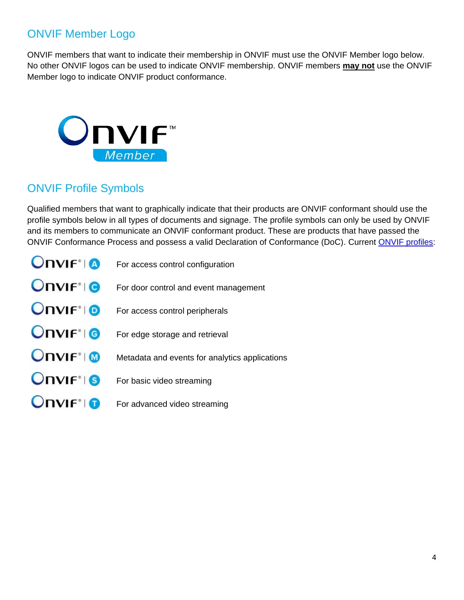## ONVIF Member Logo

ONVIF members that want to indicate their membership in ONVIF must use the ONVIF Member logo below. No other ONVIF logos can be used to indicate ONVIF membership. ONVIF members **may not** use the ONVIF Member logo to indicate ONVIF product conformance.



## <span id="page-3-0"></span>ONVIF Profile Symbols

Qualified members that want to graphically indicate that their products are ONVIF conformant should use the profile symbols below in all types of documents and signage. The profile symbols can only be used by ONVIF and its members to communicate an ONVIF conformant product. These are products that have passed the ONVIF Conformance Process and possess a valid Declaration of Conformance (DoC). Current [ONVIF profiles:](https://www.onvif.org/profiles/)

| $OnVIF^{\circ}$ ( $\Omega$ | For access control configuration               |
|----------------------------|------------------------------------------------|
| $OnVIF*  0$                | For door control and event management          |
| <b>Onvir</b> <sup>®</sup>  | For access control peripherals                 |
| $OnVIF*  6$                | For edge storage and retrieval                 |
| $OnVIF^{\circ}$            | Metadata and events for analytics applications |
| $OnVIF^{\circ}$ 6          | For basic video streaming                      |
| $OnVF^*$                   | For advanced video streaming                   |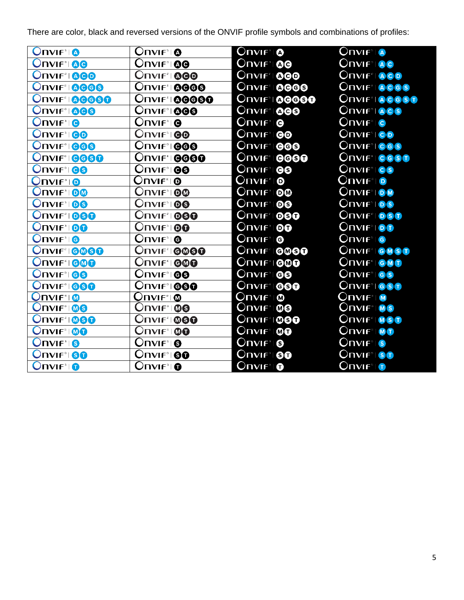$OnVIF<sup>*</sup> |  $\triangle$$  $OnVIF^{\circ}Q$  $OnVIF^{\circ}$  o **Onvir<sup>®</sup> Onvir<sup>9</sup>100 Onvir®100 Onvir<sup>®</sup>IAG Onviral Onvirtiges Onvif<sup>®</sup>1@@@ ONVIF®I@@ ONVIF®IACO Onvift 0000 ONVIF®10000 Onvif® 0000 ONIF®ROGS ONVIF® 00000 Onvif® @@@@@ ONVIF®100000 Onvirting Giso ONVIF®IACS Onvif<sup>®</sup>I@@** Onvif°i**@@** Onvif®I**@@ Onvir**<sup>®</sup> **e** Onviғ® **Onvif**®le **Onvir**®ic **Onvif<sup>®</sup>ICO Onvirtigo**  $OnVIF^*$  $0$ **Onvif® ONVIF®1000 Onvir**<sup>®</sup> 000 Onvif®l**@@ ONVIF®ICGS Onvif®1** 0000 **ONVIF®10000 Onvif®** 6660 **ONVIF®IOGST Onviral os Onvir<sup>®</sup>100 Onvir**<sup>9</sup>1**00** Onvif®l **@**  $\overline{\text{Onvff}^*|\mathbf{O}}$ **Onvif®** Onvif®l®l  $OnVIF^{\circ}$  o **Onviftion**  $OnVIF^{\circ}$  00 Onvifೆ⊺**©**® **ONVIF**®IOM **Onvirtion Onviftigg** Onvif®l**®6 Onvirtios ONVIF®1000 Onvif®1060 Onvif<sup>®</sup>IOOO ONVIF®IOST**  $OnVF^*$ 100 **ONIFIOO**  $OnVF^*$  $0$ **Onvif**®100  $OnVIF^{\circ}$  **@**  $OnVIF^*$ I $\odot$  $OnVF^*|<sub>G</sub>$  $OnVIF^{\circ}$  **O ONVIF®IGOGO Onvif®10000 Onvif®I@@@ ONVIF®IGMSO Onvirtigge Onvift GOO** O⊓VIF®I**©®O ONVIF®IGMO Onvir<sup>9</sup>100 Onvir<sup>®</sup>I GO** Onviғ∘⊧**⊕**9 **Onviral** GS Onvif®1**@@@** Onvif®l**®® Onvif<sup>®</sup>IGSO Onvif<sup>®</sup>I GGO**  $\mathsf{Onvif}^*{\mathsf{I}}\,\pmb{\mathsf{\Omega}}$  .  $\mathsf{OnvIF}^*{\mathsf{I}}\hspace{-0.03cm}\blacksquare$ **Onvif**® O⊓∨புரீ் © **Onvirting**  $OnVF^*1@@$ **Onvif**®l® **ONVIF**<sup>\*</sup>IMS **ONVIF®1000 Onvif®1000 ONVIF®IMSO Onviftimed**  $OnVIF^*1@@$  $OnVIF^*1@0$  $OnVF^*$  **OO ONVIF®IMO**  $OnVIF<sup>°</sup>$  8  $OnVIF^{\circ}$  **0**  $OnVIF^{\circ}$  is  $OnVIF^{\circ}$  is **Onvif<sup>®</sup>IOO Onvir<sup>®</sup>ISO** Onvif®l **®o Onviral So**  $OnVIF^{\circ}$  $OnVIF^{\circ}Q$  $OnVIF^{\circ}$ **Onvir**<sup>®</sup>

There are color, black and reversed versions of the ONVIF profile symbols and combinations of profiles: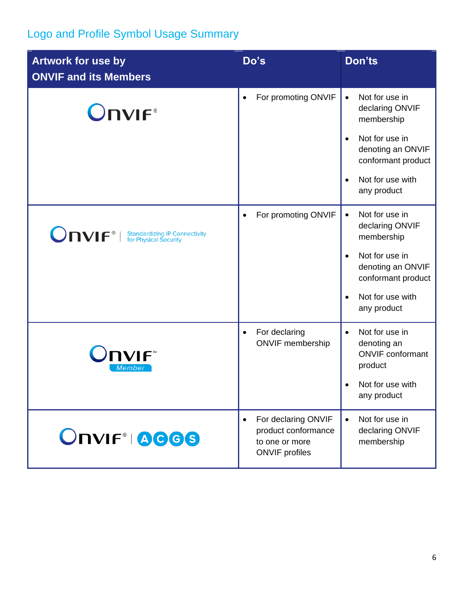## <span id="page-5-0"></span>Logo and Profile Symbol Usage Summary

| <b>Artwork for use by</b><br><b>ONVIF and its Members</b> | Do's                                                                                               | Don'ts                                                                                                                                                                                 |
|-----------------------------------------------------------|----------------------------------------------------------------------------------------------------|----------------------------------------------------------------------------------------------------------------------------------------------------------------------------------------|
| <b>Onvir</b> ®                                            | For promoting ONVIF                                                                                | Not for use in<br>$\bullet$<br>declaring ONVIF<br>membership<br>Not for use in<br>$\bullet$<br>denoting an ONVIF<br>conformant product<br>Not for use with<br>$\bullet$<br>any product |
| <b>ONVIF</b> <sup>®</sup>   Standardizing IP Connectivity | For promoting ONVIF                                                                                | Not for use in<br>$\bullet$<br>declaring ONVIF<br>membership<br>Not for use in<br>$\bullet$<br>denoting an ONVIF<br>conformant product<br>Not for use with<br>$\bullet$<br>any product |
| <b>DVIF</b><br>Membei                                     | For declaring<br><b>ONVIF</b> membership                                                           | Not for use in<br>$\bullet$<br>denoting an<br><b>ONVIF</b> conformant<br>product<br>Not for use with<br>any product                                                                    |
| ONVIF®IAGGS                                               | For declaring ONVIF<br>$\bullet$<br>product conformance<br>to one or more<br><b>ONVIF</b> profiles | Not for use in<br>$\bullet$<br>declaring ONVIF<br>membership                                                                                                                           |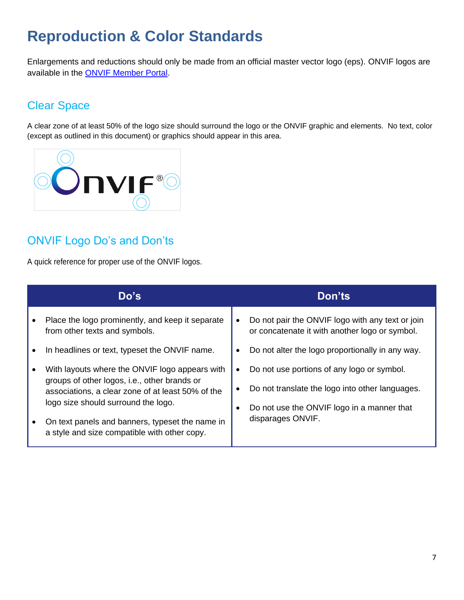## <span id="page-6-0"></span>**Reproduction & Color Standards**

Enlargements and reductions should only be made from an official master vector logo (eps). ONVIF logos are available in the [ONVIF Member Portal.](https://www.onvif.org/member-portal/)

## <span id="page-6-1"></span>Clear Space

A clear zone of at least 50% of the logo size should surround the logo or the ONVIF graphic and elements. No text, color (except as outlined in this document) or graphics should appear in this area.



## <span id="page-6-2"></span>ONVIF Logo Do's and Don'ts

A quick reference for proper use of the ONVIF logos.

|  | Do's                                                                                                                                   | Don'ts                                                                                             |
|--|----------------------------------------------------------------------------------------------------------------------------------------|----------------------------------------------------------------------------------------------------|
|  | Place the logo prominently, and keep it separate<br>from other texts and symbols.                                                      | Do not pair the ONVIF logo with any text or join<br>or concatenate it with another logo or symbol. |
|  | In headlines or text, typeset the ONVIF name.                                                                                          | Do not alter the logo proportionally in any way.                                                   |
|  | With layouts where the ONVIF logo appears with                                                                                         | Do not use portions of any logo or symbol.                                                         |
|  | groups of other logos, i.e., other brands or<br>associations, a clear zone of at least 50% of the                                      | Do not translate the logo into other languages.                                                    |
|  | logo size should surround the logo.<br>On text panels and banners, typeset the name in<br>a style and size compatible with other copy. | Do not use the ONVIF logo in a manner that                                                         |
|  |                                                                                                                                        | disparages ONVIF.                                                                                  |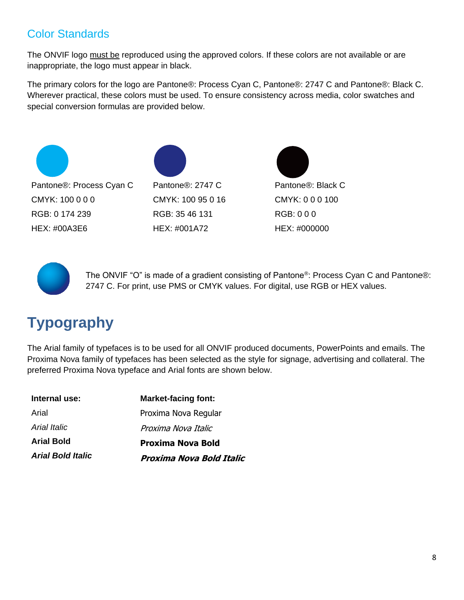## <span id="page-7-0"></span>Color Standards

The ONVIF logo must be reproduced using the approved colors. If these colors are not available or are inappropriate, the logo must appear in black.

The primary colors for the logo are Pantone®: Process Cyan C, Pantone®: 2747 C and Pantone®: Black C. Wherever practical, these colors must be used. To ensure consistency across media, color swatches and special conversion formulas are provided below.







The ONVIF "O" is made of a gradient consisting of Pantone®: Process Cyan C and Pantone®: 2747 C. For print, use PMS or CMYK values. For digital, use RGB or HEX values.

## <span id="page-7-1"></span>**Typography**

The Arial family of typefaces is to be used for all ONVIF produced documents, PowerPoints and emails. The Proxima Nova family of typefaces has been selected as the style for signage, advertising and collateral. The preferred Proxima Nova typeface and Arial fonts are shown below.

| Internal use:            | <b>Market-facing font:</b> |  |
|--------------------------|----------------------------|--|
| Arial                    | Proxima Nova Regular       |  |
| Arial Italic             | Proxima Nova Italic        |  |
| <b>Arial Bold</b>        | <b>Proxima Nova Bold</b>   |  |
| <b>Arial Bold Italic</b> | Proxima Nova Bold Italic   |  |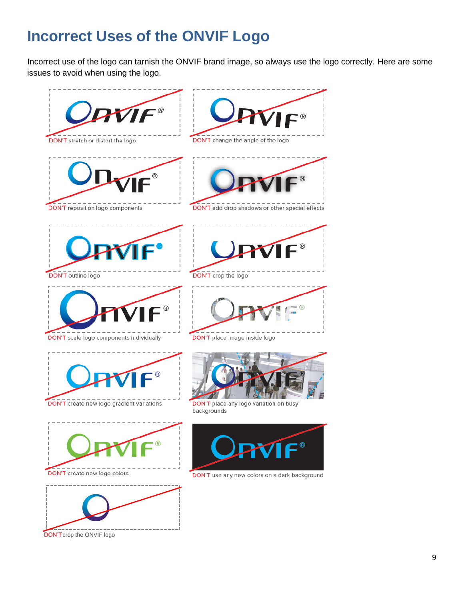## <span id="page-8-0"></span>**Incorrect Uses of the ONVIF Logo**

Incorrect use of the logo can tarnish the ONVIF brand image, so always use the logo correctly. Here are some issues to avoid when using the logo.

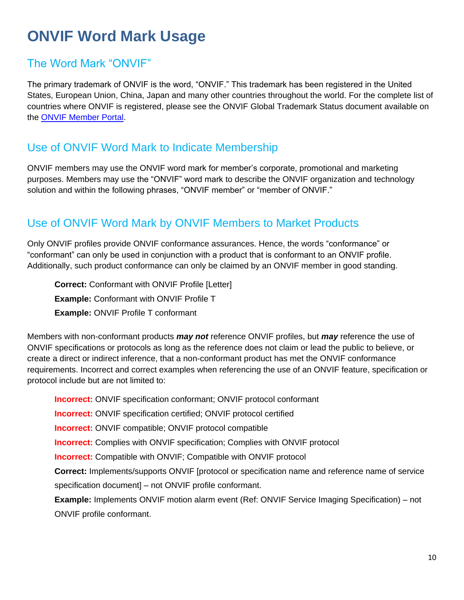## <span id="page-9-0"></span>**ONVIF Word Mark Usage**

#### <span id="page-9-1"></span>The Word Mark "ONVIF"

The primary trademark of ONVIF is the word, "ONVIF." This trademark has been registered in the United States, European Union, China, Japan and many other countries throughout the world. For the complete list of countries where ONVIF is registered, please see the ONVIF Global Trademark Status document available on the [ONVIF Member Portal.](https://www.onvif.org/member-portal/)

#### <span id="page-9-2"></span>Use of ONVIF Word Mark to Indicate Membership

ONVIF members may use the ONVIF word mark for member's corporate, promotional and marketing purposes. Members may use the "ONVIF" word mark to describe the ONVIF organization and technology solution and within the following phrases, "ONVIF member" or "member of ONVIF."

#### <span id="page-9-3"></span>Use of ONVIF Word Mark by ONVIF Members to Market Products

Only ONVIF profiles provide ONVIF conformance assurances. Hence, the words "conformance" or "conformant" can only be used in conjunction with a product that is conformant to an ONVIF profile. Additionally, such product conformance can only be claimed by an ONVIF member in good standing.

**Correct:** Conformant with ONVIF Profile [Letter] **Example:** Conformant with ONVIF Profile T **Example:** ONVIF Profile T conformant

Members with non-conformant products *may not* reference ONVIF profiles, but *may* reference the use of ONVIF specifications or protocols as long as the reference does not claim or lead the public to believe, or create a direct or indirect inference, that a non-conformant product has met the ONVIF conformance requirements. Incorrect and correct examples when referencing the use of an ONVIF feature, specification or protocol include but are not limited to:

**Incorrect:** ONVIF specification conformant; ONVIF protocol conformant **Incorrect:** ONVIF specification certified; ONVIF protocol certified **Incorrect:** ONVIF compatible; ONVIF protocol compatible **Incorrect:** Complies with ONVIF specification; Complies with ONVIF protocol **Incorrect:** Compatible with ONVIF; Compatible with ONVIF protocol **Correct:** Implements/supports ONVIF [protocol or specification name and reference name of service specification document] – not ONVIF profile conformant. **Example:** Implements ONVIF motion alarm event (Ref: ONVIF Service Imaging Specification) – not ONVIF profile conformant.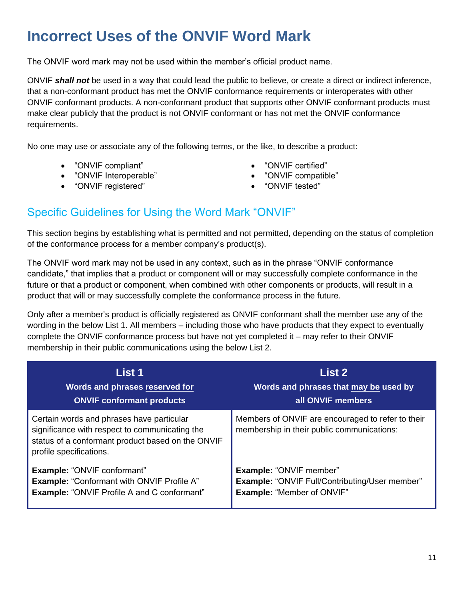## <span id="page-10-0"></span>**Incorrect Uses of the ONVIF Word Mark**

The ONVIF word mark may not be used within the member's official product name.

ONVIF *shall not* be used in a way that could lead the public to believe, or create a direct or indirect inference, that a non-conformant product has met the ONVIF conformance requirements or interoperates with other ONVIF conformant products. A non-conformant product that supports other ONVIF conformant products must make clear publicly that the product is not ONVIF conformant or has not met the ONVIF conformance requirements.

No one may use or associate any of the following terms, or the like, to describe a product:

- "ONVIF compliant" "ONVIF certified"
- "ONVIF Interoperable" "ONVIF compatible"
- "ONVIF registered" "ONVIF tested"
- 
- 
- 

#### <span id="page-10-1"></span>Specific Guidelines for Using the Word Mark "ONVIF"

This section begins by establishing what is permitted and not permitted, depending on the status of completion of the conformance process for a member company's product(s).

The ONVIF word mark may not be used in any context, such as in the phrase "ONVIF conformance candidate," that implies that a product or component will or may successfully complete conformance in the future or that a product or component, when combined with other components or products, will result in a product that will or may successfully complete the conformance process in the future.

Only after a member's product is officially registered as ONVIF conformant shall the member use any of the wording in the below List 1. All members – including those who have products that they expect to eventually complete the ONVIF conformance process but have not yet completed it – may refer to their ONVIF membership in their public communications using the below List 2.

| List 1                                                                                                                                                                      | <b>List 2</b>                                                                                   |
|-----------------------------------------------------------------------------------------------------------------------------------------------------------------------------|-------------------------------------------------------------------------------------------------|
| Words and phrases reserved for                                                                                                                                              | Words and phrases that may be used by                                                           |
| <b>ONVIF conformant products</b>                                                                                                                                            | all ONVIF members                                                                               |
| Certain words and phrases have particular<br>significance with respect to communicating the<br>status of a conformant product based on the ONVIF<br>profile specifications. | Members of ONVIF are encouraged to refer to their<br>membership in their public communications: |
| <b>Example: "ONVIF conformant"</b>                                                                                                                                          | Example: "ONVIF member"                                                                         |
| <b>Example: "Conformant with ONVIF Profile A"</b>                                                                                                                           | <b>Example: "ONVIF Full/Contributing/User member"</b>                                           |
| <b>Example: "ONVIF Profile A and C conformant"</b>                                                                                                                          | <b>Example: "Member of ONVIF"</b>                                                               |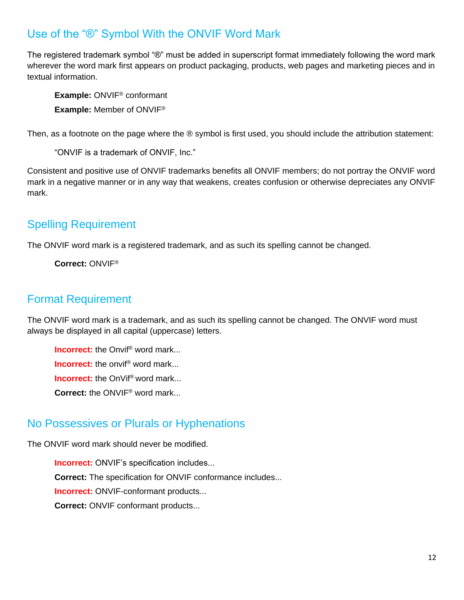#### <span id="page-11-0"></span>Use of the "®" Symbol With the ONVIF Word Mark

The registered trademark symbol "®" must be added in superscript format immediately following the word mark wherever the word mark first appears on product packaging, products, web pages and marketing pieces and in textual information.

**Example:** ONVIF® conformant **Example:** Member of ONVIF®

Then, as a footnote on the page where the ® symbol is first used, you should include the attribution statement:

"ONVIF is a trademark of ONVIF, Inc."

Consistent and positive use of ONVIF trademarks benefits all ONVIF members; do not portray the ONVIF word mark in a negative manner or in any way that weakens, creates confusion or otherwise depreciates any ONVIF mark.

## <span id="page-11-1"></span>Spelling Requirement

The ONVIF word mark is a registered trademark, and as such its spelling cannot be changed.

**Correct:** ONVIF®

#### <span id="page-11-2"></span>Format Requirement

The ONVIF word mark is a trademark, and as such its spelling cannot be changed. The ONVIF word must always be displayed in all capital (uppercase) letters.

**Incorrect:** the Onvif<sup>®</sup> word mark... **Incorrect:** the onvif<sup>®</sup> word mark... **Incorrect:** the OnVif<sup>®</sup> word mark... **Correct:** the ONVIF® word mark...

#### <span id="page-11-3"></span>No Possessives or Plurals or Hyphenations

The ONVIF word mark should never be modified.

**Incorrect:** ONVIF's specification includes... **Correct:** The specification for ONVIF conformance includes... **Incorrect:** ONVIF-conformant products... **Correct:** ONVIF conformant products...